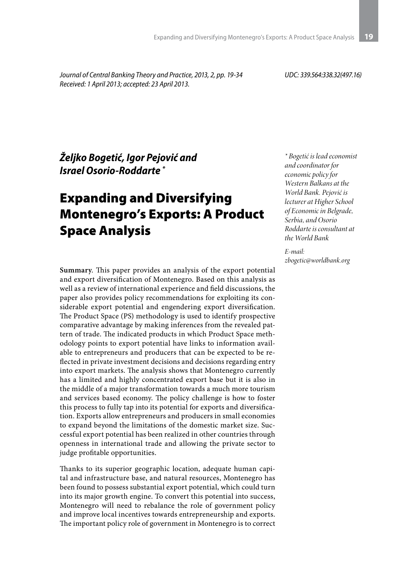*Journal of Central Banking Theory and Practice, 2013, 2, pp. 19-34 Received: 1 April 2013; accepted: 23 April 2013.*

*UDC: 339.564:338.32(497.16)*

*Željko Bogetić, Igor Pejović and Israel Osorio-Roddarte \**

# Expanding and Diversifying Montenegro's Exports: A Product Space Analysis

**Summary**. This paper provides an analysis of the export potential and export diversification of Montenegro. Based on this analysis as well as a review of international experience and field discussions, the paper also provides policy recommendations for exploiting its considerable export potential and engendering export diversification. The Product Space (PS) methodology is used to identify prospective comparative advantage by making inferences from the revealed pattern of trade. The indicated products in which Product Space methodology points to export potential have links to information available to entrepreneurs and producers that can be expected to be reflected in private investment decisions and decisions regarding entry into export markets. The analysis shows that Montenegro currently has a limited and highly concentrated export base but it is also in the middle of a major transformation towards a much more tourism and services based economy. The policy challenge is how to foster this process to fully tap into its potential for exports and diversification. Exports allow entrepreneurs and producers in small economies to expand beyond the limitations of the domestic market size. Successful export potential has been realized in other countries through openness in international trade and allowing the private sector to judge profitable opportunities.

Thanks to its superior geographic location, adequate human capital and infrastructure base, and natural resources, Montenegro has been found to possess substantial export potential, which could turn into its major growth engine. To convert this potential into success, Montenegro will need to rebalance the role of government policy and improve local incentives towards entrepreneurship and exports. The important policy role of government in Montenegro is to correct

*\* Bogetić is lead economist and coordinator for economic policy for Western Balkans at the World Bank. Pejović is lecturer at Higher School of Economic in Belgrade, Serbia, and Osorio Roddarte is consultant at the World Bank*

*E-mail: zbogetic@worldbank.org*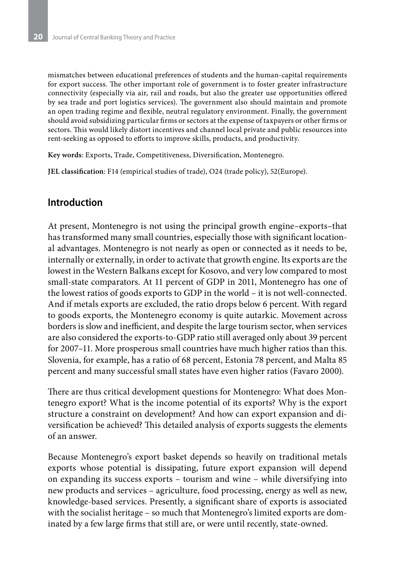mismatches between educational preferences of students and the human-capital requirements for export success. The other important role of government is to foster greater infrastructure connectivity (especially via air, rail and roads, but also the greater use opportunities offered by sea trade and port logistics services). The government also should maintain and promote an open trading regime and flexible, neutral regulatory environment. Finally, the government should avoid subsidizing particular firms or sectors at the expense of taxpayers or other firms or sectors. This would likely distort incentives and channel local private and public resources into rent-seeking as opposed to efforts to improve skills, products, and productivity.

**Key words**: Exports, Trade, Competitiveness, Diversification, Montenegro.

**JEL classification**: F14 (empirical studies of trade), O24 (trade policy), 52(Europe).

# **Introduction**

At present, Montenegro is not using the principal growth engine–exports–that has transformed many small countries, especially those with significant locational advantages. Montenegro is not nearly as open or connected as it needs to be, internally or externally, in order to activate that growth engine. Its exports are the lowest in the Western Balkans except for Kosovo, and very low compared to most small-state comparators. At 11 percent of GDP in 2011, Montenegro has one of the lowest ratios of goods exports to GDP in the world – it is not well-connected. And if metals exports are excluded, the ratio drops below 6 percent. With regard to goods exports, the Montenegro economy is quite autarkic. Movement across borders is slow and inefficient, and despite the large tourism sector, when services are also considered the exports-to-GDP ratio still averaged only about 39 percent for 2007–11. More prosperous small countries have much higher ratios than this. Slovenia, for example, has a ratio of 68 percent, Estonia 78 percent, and Malta 85 percent and many successful small states have even higher ratios (Favaro 2000).

There are thus critical development questions for Montenegro: What does Montenegro export? What is the income potential of its exports? Why is the export structure a constraint on development? And how can export expansion and diversification be achieved? This detailed analysis of exports suggests the elements of an answer.

Because Montenegro's export basket depends so heavily on traditional metals exports whose potential is dissipating, future export expansion will depend on expanding its success exports – tourism and wine – while diversifying into new products and services – agriculture, food processing, energy as well as new, knowledge-based services. Presently, a significant share of exports is associated with the socialist heritage – so much that Montenegro's limited exports are dominated by a few large firms that still are, or were until recently, state-owned.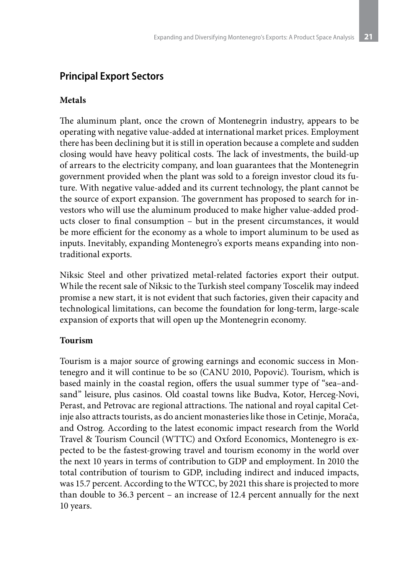# **Principal Export Sectors**

# **Metals**

The aluminum plant, once the crown of Montenegrin industry, appears to be operating with negative value-added at international market prices. Employment there has been declining but it is still in operation because a complete and sudden closing would have heavy political costs. The lack of investments, the build-up of arrears to the electricity company, and loan guarantees that the Montenegrin government provided when the plant was sold to a foreign investor cloud its future. With negative value-added and its current technology, the plant cannot be the source of export expansion. The government has proposed to search for investors who will use the aluminum produced to make higher value-added products closer to final consumption – but in the present circumstances, it would be more efficient for the economy as a whole to import aluminum to be used as inputs. Inevitably, expanding Montenegro's exports means expanding into nontraditional exports.

Niksic Steel and other privatized metal-related factories export their output. While the recent sale of Niksic to the Turkish steel company Toscelik may indeed promise a new start, it is not evident that such factories, given their capacity and technological limitations, can become the foundation for long-term, large-scale expansion of exports that will open up the Montenegrin economy.

# **Tourism**

Tourism is a major source of growing earnings and economic success in Montenegro and it will continue to be so (CANU 2010, Popović). Tourism, which is based mainly in the coastal region, offers the usual summer type of "sea–andsand" leisure, plus casinos. Old coastal towns like Budva, Kotor, Herceg-Novi, Perast, and Petrovac are regional attractions. The national and royal capital Cetinje also attracts tourists, as do ancient monasteries like those in Cetinje, Morača, and Ostrog. According to the latest economic impact research from the World Travel & Tourism Council (WTTC) and Oxford Economics, Montenegro is expected to be the fastest-growing travel and tourism economy in the world over the next 10 years in terms of contribution to GDP and employment. In 2010 the total contribution of tourism to GDP, including indirect and induced impacts, was 15.7 percent. According to the WTCC, by 2021 this share is projected to more than double to 36.3 percent – an increase of 12.4 percent annually for the next 10 years.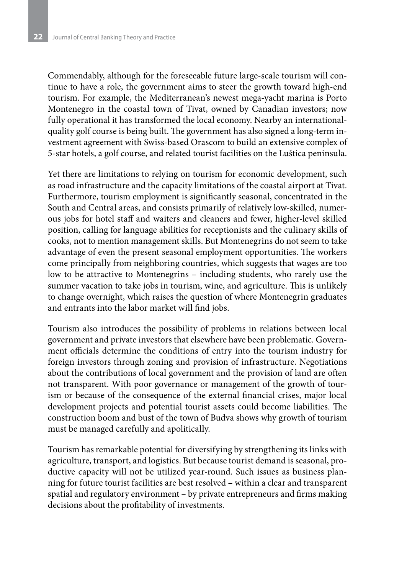Commendably, although for the foreseeable future large-scale tourism will continue to have a role, the government aims to steer the growth toward high-end tourism. For example, the Mediterranean's newest mega-yacht marina is Porto Montenegro in the coastal town of Tivat, owned by Canadian investors; now fully operational it has transformed the local economy. Nearby an internationalquality golf course is being built. The government has also signed a long-term investment agreement with Swiss-based Orascom to build an extensive complex of 5-star hotels, a golf course, and related tourist facilities on the Luštica peninsula.

Yet there are limitations to relying on tourism for economic development, such as road infrastructure and the capacity limitations of the coastal airport at Tivat. Furthermore, tourism employment is significantly seasonal, concentrated in the South and Central areas, and consists primarily of relatively low-skilled, numerous jobs for hotel staff and waiters and cleaners and fewer, higher-level skilled position, calling for language abilities for receptionists and the culinary skills of cooks, not to mention management skills. But Montenegrins do not seem to take advantage of even the present seasonal employment opportunities. The workers come principally from neighboring countries, which suggests that wages are too low to be attractive to Montenegrins – including students, who rarely use the summer vacation to take jobs in tourism, wine, and agriculture. This is unlikely to change overnight, which raises the question of where Montenegrin graduates and entrants into the labor market will find jobs.

Tourism also introduces the possibility of problems in relations between local government and private investors that elsewhere have been problematic. Government officials determine the conditions of entry into the tourism industry for foreign investors through zoning and provision of infrastructure. Negotiations about the contributions of local government and the provision of land are often not transparent. With poor governance or management of the growth of tourism or because of the consequence of the external financial crises, major local development projects and potential tourist assets could become liabilities. The construction boom and bust of the town of Budva shows why growth of tourism must be managed carefully and apolitically.

Tourism has remarkable potential for diversifying by strengthening its links with agriculture, transport, and logistics. But because tourist demand is seasonal, productive capacity will not be utilized year-round. Such issues as business planning for future tourist facilities are best resolved – within a clear and transparent spatial and regulatory environment – by private entrepreneurs and firms making decisions about the profitability of investments.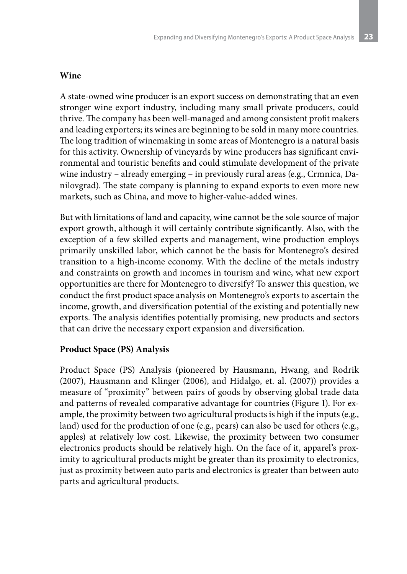### **Wine**

A state-owned wine producer is an export success on demonstrating that an even stronger wine export industry, including many small private producers, could thrive. The company has been well-managed and among consistent profit makers and leading exporters; its wines are beginning to be sold in many more countries. The long tradition of winemaking in some areas of Montenegro is a natural basis for this activity. Ownership of vineyards by wine producers has significant environmental and touristic benefits and could stimulate development of the private wine industry – already emerging – in previously rural areas (e.g., Crmnica, Danilovgrad). The state company is planning to expand exports to even more new markets, such as China, and move to higher-value-added wines.

But with limitations of land and capacity, wine cannot be the sole source of major export growth, although it will certainly contribute significantly. Also, with the exception of a few skilled experts and management, wine production employs primarily unskilled labor, which cannot be the basis for Montenegro's desired transition to a high-income economy. With the decline of the metals industry and constraints on growth and incomes in tourism and wine, what new export opportunities are there for Montenegro to diversify? To answer this question, we conduct the first product space analysis on Montenegro's exports to ascertain the income, growth, and diversification potential of the existing and potentially new exports. The analysis identifies potentially promising, new products and sectors that can drive the necessary export expansion and diversification.

# **Product Space (PS) Analysis**

Product Space (PS) Analysis (pioneered by Hausmann, Hwang, and Rodrik (2007), Hausmann and Klinger (2006), and Hidalgo, et. al. (2007)) provides a measure of "proximity" between pairs of goods by observing global trade data and patterns of revealed comparative advantage for countries (Figure 1). For example, the proximity between two agricultural products is high if the inputs (e.g., land) used for the production of one (e.g., pears) can also be used for others (e.g., apples) at relatively low cost. Likewise, the proximity between two consumer electronics products should be relatively high. On the face of it, apparel's proximity to agricultural products might be greater than its proximity to electronics, just as proximity between auto parts and electronics is greater than between auto parts and agricultural products.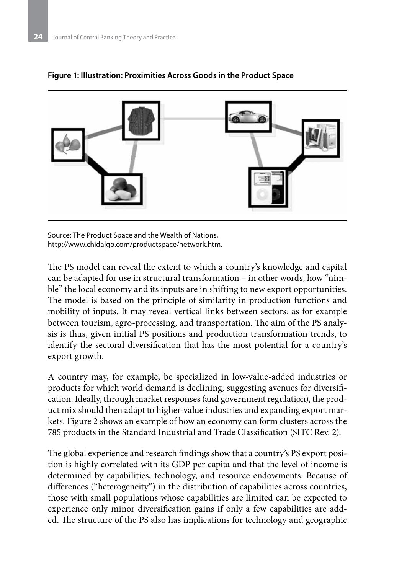

### **Figure 1: Illustration: Proximities Across Goods in the Product Space**

Source: The Product Space and the Wealth of Nations, http://www.chidalgo.com/productspace/network.htm.

The PS model can reveal the extent to which a country's knowledge and capital can be adapted for use in structural transformation – in other words, how "nimble" the local economy and its inputs are in shifting to new export opportunities. The model is based on the principle of similarity in production functions and mobility of inputs. It may reveal vertical links between sectors, as for example between tourism, agro-processing, and transportation. The aim of the PS analysis is thus, given initial PS positions and production transformation trends, to identify the sectoral diversification that has the most potential for a country's export growth.

A country may, for example, be specialized in low-value-added industries or products for which world demand is declining, suggesting avenues for diversification. Ideally, through market responses (and government regulation), the product mix should then adapt to higher-value industries and expanding export markets. Figure 2 shows an example of how an economy can form clusters across the 785 products in the Standard Industrial and Trade Classification (SITC Rev. 2).

The global experience and research findings show that a country's PS export position is highly correlated with its GDP per capita and that the level of income is determined by capabilities, technology, and resource endowments. Because of differences ("heterogeneity") in the distribution of capabilities across countries, those with small populations whose capabilities are limited can be expected to experience only minor diversification gains if only a few capabilities are added. The structure of the PS also has implications for technology and geographic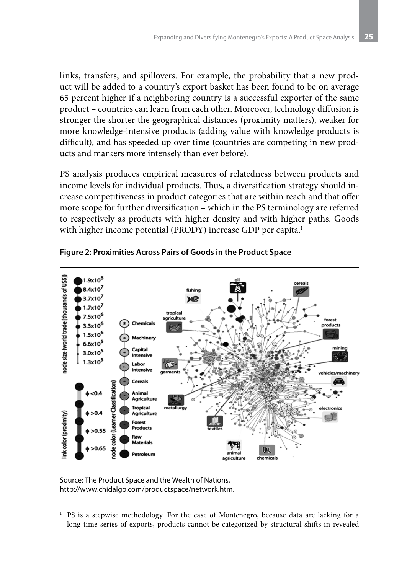links, transfers, and spillovers. For example, the probability that a new product will be added to a country's export basket has been found to be on average 65 percent higher if a neighboring country is a successful exporter of the same product – countries can learn from each other. Moreover, technology diffusion is stronger the shorter the geographical distances (proximity matters), weaker for more knowledge-intensive products (adding value with knowledge products is difficult), and has speeded up over time (countries are competing in new products and markers more intensely than ever before).

PS analysis produces empirical measures of relatedness between products and income levels for individual products. Thus, a diversification strategy should increase competitiveness in product categories that are within reach and that offer more scope for further diversification – which in the PS terminology are referred to respectively as products with higher density and with higher paths. Goods with higher income potential (PRODY) increase GDP per capita.<sup>1</sup>



**Figure 2: Proximities Across Pairs of Goods in the Product Space**

Source: The Product Space and the Wealth of Nations, http://www.chidalgo.com/productspace/network.htm.

<sup>&</sup>lt;sup>1</sup> PS is a stepwise methodology. For the case of Montenegro, because data are lacking for a long time series of exports, products cannot be categorized by structural shifts in revealed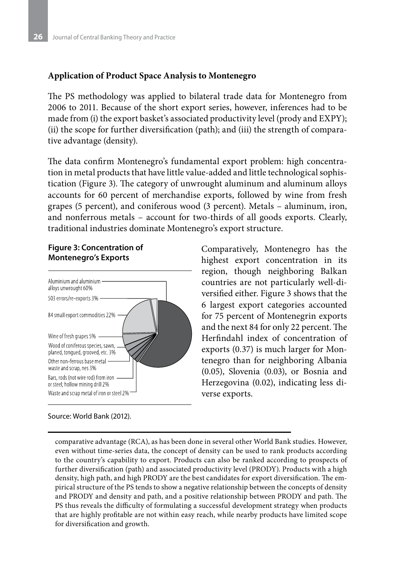### **Application of Product Space Analysis to Montenegro**

The PS methodology was applied to bilateral trade data for Montenegro from 2006 to 2011. Because of the short export series, however, inferences had to be made from (i) the export basket's associated productivity level (prody and EXPY); (ii) the scope for further diversification (path); and (iii) the strength of comparative advantage (density).

The data confirm Montenegro's fundamental export problem: high concentration in metal products that have little value-added and little technological sophistication (Figure 3). The category of unwrought aluminum and aluminum alloys accounts for 60 percent of merchandise exports, followed by wine from fresh grapes (5 percent), and coniferous wood (3 percent). Metals – aluminum, iron, and nonferrous metals – account for two-thirds of all goods exports. Clearly, traditional industries dominate Montenegro's export structure.

#### **Figure 3: Concentration of Montenegro's Exports**



Comparatively, Montenegro has the highest export concentration in its region, though neighboring Balkan countries are not particularly well-diversified either. Figure 3 shows that the 6 largest export categories accounted for 75 percent of Montenegrin exports and the next 84 for only 22 percent. The Herfindahl index of concentration of exports (0.37) is much larger for Montenegro than for neighboring Albania (0.05), Slovenia (0.03), or Bosnia and Herzegovina (0.02), indicating less diverse exports.

#### Source: World Bank (2012).

comparative advantage (RCA), as has been done in several other World Bank studies. However, even without time-series data, the concept of density can be used to rank products according to the country's capability to export. Products can also be ranked according to prospects of further diversification (path) and associated productivity level (PRODY). Products with a high density, high path, and high PRODY are the best candidates for export diversification. The empirical structure of the PS tends to show a negative relationship between the concepts of density and PRODY and density and path, and a positive relationship between PRODY and path. The PS thus reveals the difficulty of formulating a successful development strategy when products that are highly profitable are not within easy reach, while nearby products have limited scope for diversification and growth.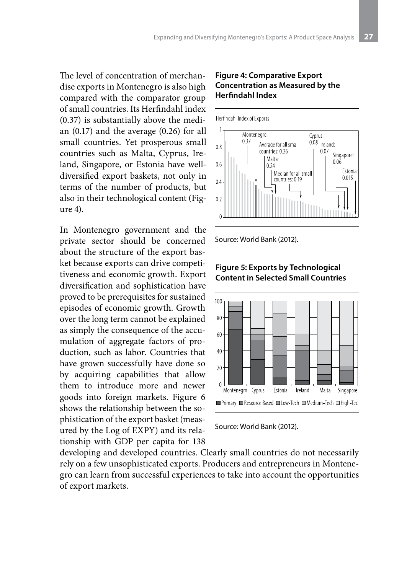The level of concentration of merchandise exports in Montenegro is also high compared with the comparator group of small countries. Its Herfindahl index (0.37) is substantially above the median (0.17) and the average (0.26) for all small countries. Yet prosperous small countries such as Malta, Cyprus, Ireland, Singapore, or Estonia have welldiversified export baskets, not only in terms of the number of products, but also in their technological content (Figure 4).

In Montenegro government and the private sector should be concerned about the structure of the export basket because exports can drive competitiveness and economic growth. Export diversification and sophistication have proved to be prerequisites for sustained episodes of economic growth. Growth over the long term cannot be explained as simply the consequence of the accumulation of aggregate factors of production, such as labor. Countries that have grown successfully have done so by acquiring capabilities that allow them to introduce more and newer goods into foreign markets. Figure 6 shows the relationship between the sophistication of the export basket (measured by the Log of EXPY) and its relationship with GDP per capita for 138

### **Figure 4: Comparative Export Concentration as Measured by the Herfindahl Index**

Herfindahl Index of Exports



Source: World Bank (2012).



### **Figure 5: Exports by Technological Content in Selected Small Countries**

developing and developed countries. Clearly small countries do not necessarily rely on a few unsophisticated exports. Producers and entrepreneurs in Montenegro can learn from successful experiences to take into account the opportunities of export markets.

Source: World Bank (2012).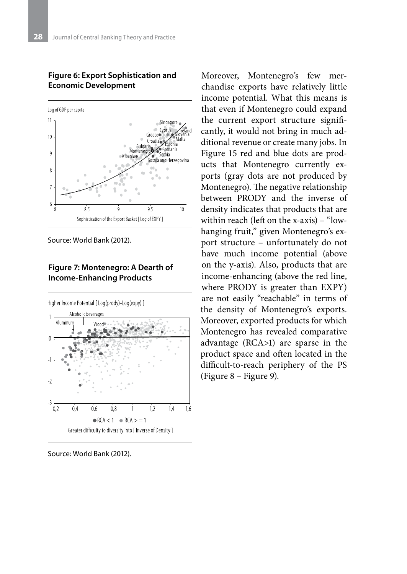#### **Figure 6: Export Sophistication and Economic Development**



Source: World Bank (2012).

### **Figure 7: Montenegro: A Dearth of Income-Enhancing Products**

Higher Income Potential [ Log(prody)-Log(expy) ]



Source: World Bank (2012).

Moreover, Montenegro's few merchandise exports have relatively little income potential. What this means is that even if Montenegro could expand the current export structure significantly, it would not bring in much additional revenue or create many jobs. In Figure 15 red and blue dots are products that Montenegro currently exports (gray dots are not produced by Montenegro). The negative relationship between PRODY and the inverse of density indicates that products that are within reach (left on the x-axis) – "lowhanging fruit," given Montenegro's export structure – unfortunately do not have much income potential (above on the y-axis). Also, products that are income-enhancing (above the red line, where PRODY is greater than EXPY) are not easily "reachable" in terms of the density of Montenegro's exports. Moreover, exported products for which Montenegro has revealed comparative advantage (RCA>1) are sparse in the product space and often located in the difficult-to-reach periphery of the PS (Figure 8 – Figure 9).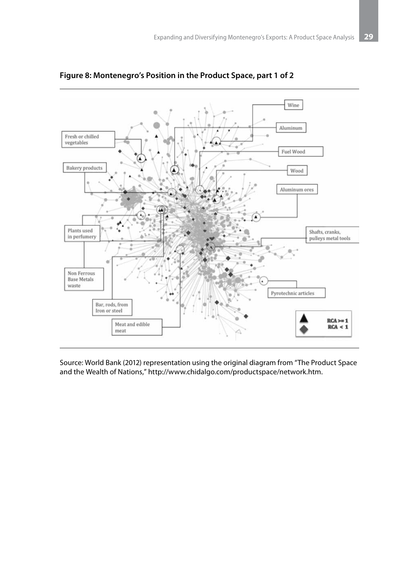

# **Figure 8: Montenegro's Position in the Product Space, part 1 of 2**

Source: World Bank (2012) representation using the original diagram from "The Product Space and the Wealth of Nations," http://www.chidalgo.com/productspace/network.htm.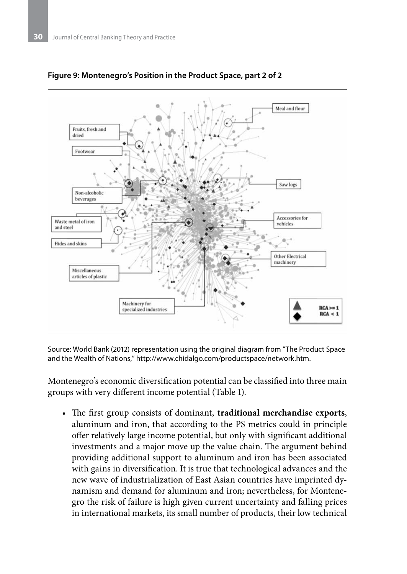

# **Figure 9: Montenegro's Position in the Product Space, part 2 of 2**

Source: World Bank (2012) representation using the original diagram from "The Product Space and the Wealth of Nations," http://www.chidalgo.com/productspace/network.htm.

Montenegro's economic diversification potential can be classified into three main groups with very different income potential (Table 1).

• The first group consists of dominant, **traditional merchandise exports**, aluminum and iron, that according to the PS metrics could in principle offer relatively large income potential, but only with significant additional investments and a major move up the value chain. The argument behind providing additional support to aluminum and iron has been associated with gains in diversification. It is true that technological advances and the new wave of industrialization of East Asian countries have imprinted dynamism and demand for aluminum and iron; nevertheless, for Montenegro the risk of failure is high given current uncertainty and falling prices in international markets, its small number of products, their low technical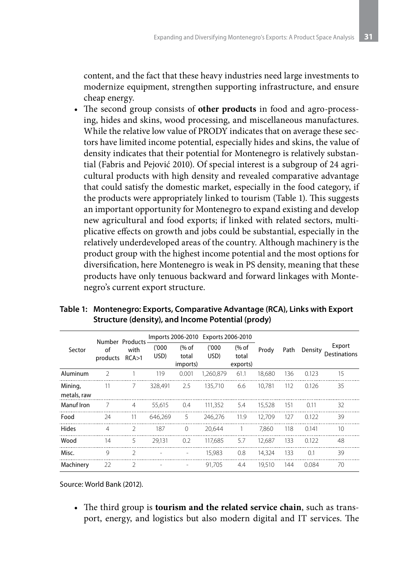content, and the fact that these heavy industries need large investments to modernize equipment, strengthen supporting infrastructure, and ensure cheap energy.

• The second group consists of **other products** in food and agro-processing, hides and skins, wood processing, and miscellaneous manufactures. While the relative low value of PRODY indicates that on average these sectors have limited income potential, especially hides and skins, the value of density indicates that their potential for Montenegro is relatively substantial (Fabris and Pejović 2010). Of special interest is a subgroup of 24 agricultural products with high density and revealed comparative advantage that could satisfy the domestic market, especially in the food category, if the products were appropriately linked to tourism (Table 1). This suggests an important opportunity for Montenegro to expand existing and develop new agricultural and food exports; if linked with related sectors, multiplicative effects on growth and jobs could be substantial, especially in the relatively underdeveloped areas of the country. Although machinery is the product group with the highest income potential and the most options for diversification, here Montenegro is weak in PS density, meaning that these products have only tenuous backward and forward linkages with Montenegro's current export structure.

| Sector                 | of<br>products | Number Products<br>with<br>RCA > 1 | Imports 2006-2010        |                           | Exports 2006-2010 |                            |        |      |         |                        |
|------------------------|----------------|------------------------------------|--------------------------|---------------------------|-------------------|----------------------------|--------|------|---------|------------------------|
|                        |                |                                    | (000)<br>USD)            | % of<br>total<br>imports) | (1000)<br>USD)    | (% of<br>total<br>exports) | Prody  | Path | Density | Export<br>Destinations |
| Aluminum               | $\mathfrak{D}$ |                                    | 119                      | 0.001                     | 1,260,879         | 61.1                       | 18,680 | 136  | 0.123   | 15                     |
| Mining,<br>metals, raw | 11             | 7                                  | 328.491                  | 2.5                       | 135.710           | 6.6                        | 10.781 | 112  | 0.126   | 35                     |
| <b>Manuf Iron</b>      | 7              | $\overline{4}$                     | 55,615                   | 0.4                       | 111,352           | 5.4                        | 15,528 | 151  | 0.11    | 32                     |
| Food                   | 24             | 11                                 | 646.269                  | 5                         | 246,276           | 11.9                       | 12.709 | 127  | 0.122   | 39                     |
| <b>Hides</b>           | 4              | $\mathcal{P}$                      | 187                      | $\Omega$                  | 20,644            |                            | 7,860  | 118  | 0.141   | 10                     |
| Wood                   | 14             | 5                                  | 29,131                   | 0.2                       | 117,685           | 5.7                        | 12.687 | 133  | 0.122   | 48                     |
| Misc.                  | $\mathsf{Q}$   | $\mathcal{D}$                      |                          | $\overline{\phantom{a}}$  | 15.983            | 0.8                        | 14.324 | 133  | 0.1     | 39                     |
| Machinery              | 22             | $\mathcal{P}$                      | $\overline{\phantom{a}}$ | ٠                         | 91.705            | 4.4                        | 19.510 | 144  | 0.084   | 70                     |

**Table 1: Montenegro: Exports, Comparative Advantage (RCA), Links with Export Structure (density), and Income Potential (prody)**

Source: World Bank (2012).

• The third group is **tourism and the related service chain**, such as transport, energy, and logistics but also modern digital and IT services. The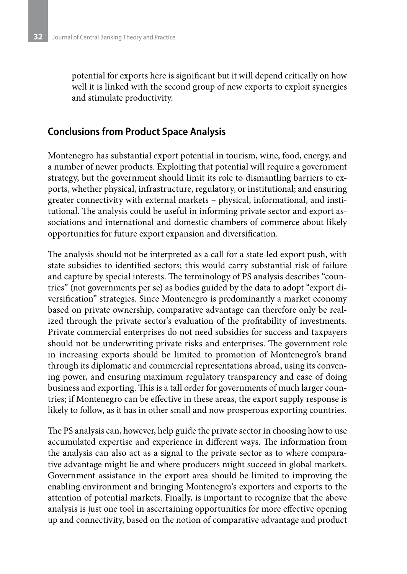potential for exports here is significant but it will depend critically on how well it is linked with the second group of new exports to exploit synergies and stimulate productivity.

# **Conclusions from Product Space Analysis**

Montenegro has substantial export potential in tourism, wine, food, energy, and a number of newer products. Exploiting that potential will require a government strategy, but the government should limit its role to dismantling barriers to exports, whether physical, infrastructure, regulatory, or institutional; and ensuring greater connectivity with external markets – physical, informational, and institutional. The analysis could be useful in informing private sector and export associations and international and domestic chambers of commerce about likely opportunities for future export expansion and diversification.

The analysis should not be interpreted as a call for a state-led export push, with state subsidies to identified sectors; this would carry substantial risk of failure and capture by special interests. The terminology of PS analysis describes "countries" (not governments per se) as bodies guided by the data to adopt "export diversification" strategies. Since Montenegro is predominantly a market economy based on private ownership, comparative advantage can therefore only be realized through the private sector's evaluation of the profitability of investments. Private commercial enterprises do not need subsidies for success and taxpayers should not be underwriting private risks and enterprises. The government role in increasing exports should be limited to promotion of Montenegro's brand through its diplomatic and commercial representations abroad, using its convening power, and ensuring maximum regulatory transparency and ease of doing business and exporting. This is a tall order for governments of much larger countries; if Montenegro can be effective in these areas, the export supply response is likely to follow, as it has in other small and now prosperous exporting countries.

The PS analysis can, however, help guide the private sector in choosing how to use accumulated expertise and experience in different ways. The information from the analysis can also act as a signal to the private sector as to where comparative advantage might lie and where producers might succeed in global markets. Government assistance in the export area should be limited to improving the enabling environment and bringing Montenegro's exporters and exports to the attention of potential markets. Finally, is important to recognize that the above analysis is just one tool in ascertaining opportunities for more effective opening up and connectivity, based on the notion of comparative advantage and product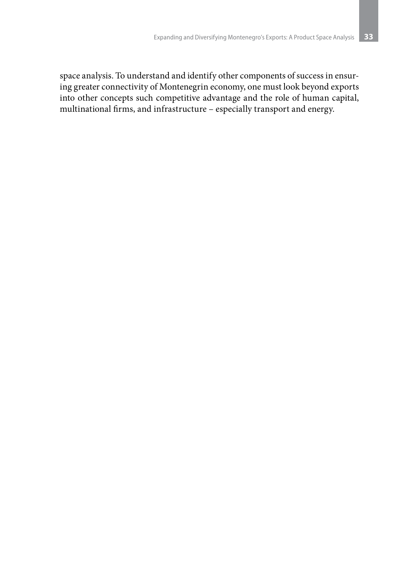space analysis. To understand and identify other components of success in ensuring greater connectivity of Montenegrin economy, one must look beyond exports into other concepts such competitive advantage and the role of human capital, multinational firms, and infrastructure – especially transport and energy.